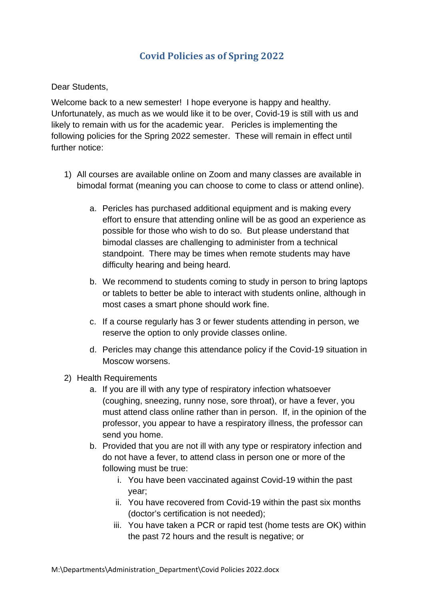## **Covid Policies as of Spring 2022**

Dear Students,

Welcome back to a new semester! I hope everyone is happy and healthy. Unfortunately, as much as we would like it to be over, Covid-19 is still with us and likely to remain with us for the academic year. Pericles is implementing the following policies for the Spring 2022 semester. These will remain in effect until further notice:

- 1) All courses are available online on Zoom and many classes are available in bimodal format (meaning you can choose to come to class or attend online).
	- a. Pericles has purchased additional equipment and is making every effort to ensure that attending online will be as good an experience as possible for those who wish to do so. But please understand that bimodal classes are challenging to administer from a technical standpoint. There may be times when remote students may have difficulty hearing and being heard.
	- b. We recommend to students coming to study in person to bring laptops or tablets to better be able to interact with students online, although in most cases a smart phone should work fine.
	- c. If a course regularly has 3 or fewer students attending in person, we reserve the option to only provide classes online.
	- d. Pericles may change this attendance policy if the Covid-19 situation in Moscow worsens.
- 2) Health Requirements
	- a. If you are ill with any type of respiratory infection whatsoever (coughing, sneezing, runny nose, sore throat), or have a fever, you must attend class online rather than in person. If, in the opinion of the professor, you appear to have a respiratory illness, the professor can send you home.
	- b. Provided that you are not ill with any type or respiratory infection and do not have a fever, to attend class in person one or more of the following must be true:
		- i. You have been vaccinated against Covid-19 within the past year;
		- ii. You have recovered from Covid-19 within the past six months (doctor's certification is not needed);
		- iii. You have taken a PCR or rapid test (home tests are OK) within the past 72 hours and the result is negative; or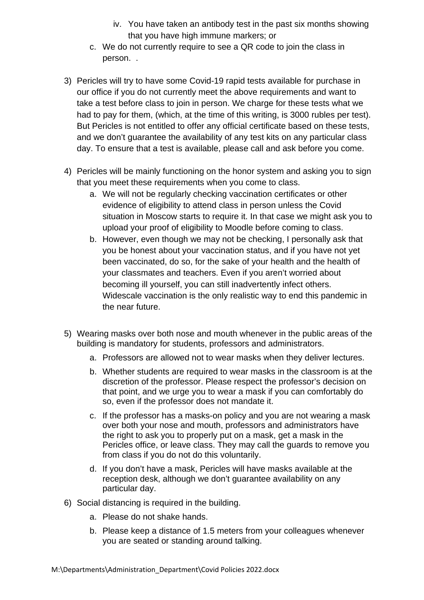- iv. You have taken an antibody test in the past six months showing that you have high immune markers; or
- c. We do not currently require to see a QR code to join the class in person. .
- 3) Pericles will try to have some Covid-19 rapid tests available for purchase in our office if you do not currently meet the above requirements and want to take a test before class to join in person. We charge for these tests what we had to pay for them, (which, at the time of this writing, is 3000 rubles per test). But Pericles is not entitled to offer any official certificate based on these tests, and we don't guarantee the availability of any test kits on any particular class day. To ensure that a test is available, please call and ask before you come.
- 4) Pericles will be mainly functioning on the honor system and asking you to sign that you meet these requirements when you come to class.
	- a. We will not be regularly checking vaccination certificates or other evidence of eligibility to attend class in person unless the Covid situation in Moscow starts to require it. In that case we might ask you to upload your proof of eligibility to Moodle before coming to class.
	- b. However, even though we may not be checking, I personally ask that you be honest about your vaccination status, and if you have not yet been vaccinated, do so, for the sake of your health and the health of your classmates and teachers. Even if you aren't worried about becoming ill yourself, you can still inadvertently infect others. Widescale vaccination is the only realistic way to end this pandemic in the near future.
- 5) Wearing masks over both nose and mouth whenever in the public areas of the building is mandatory for students, professors and administrators.
	- a. Professors are allowed not to wear masks when they deliver lectures.
	- b. Whether students are required to wear masks in the classroom is at the discretion of the professor. Please respect the professor's decision on that point, and we urge you to wear a mask if you can comfortably do so, even if the professor does not mandate it.
	- c. If the professor has a masks-on policy and you are not wearing a mask over both your nose and mouth, professors and administrators have the right to ask you to properly put on a mask, get a mask in the Pericles office, or leave class. They may call the guards to remove you from class if you do not do this voluntarily.
	- d. If you don't have a mask, Pericles will have masks available at the reception desk, although we don't guarantee availability on any particular day.
- 6) Social distancing is required in the building.
	- a. Please do not shake hands.
	- b. Please keep a distance of 1.5 meters from your colleagues whenever you are seated or standing around talking.